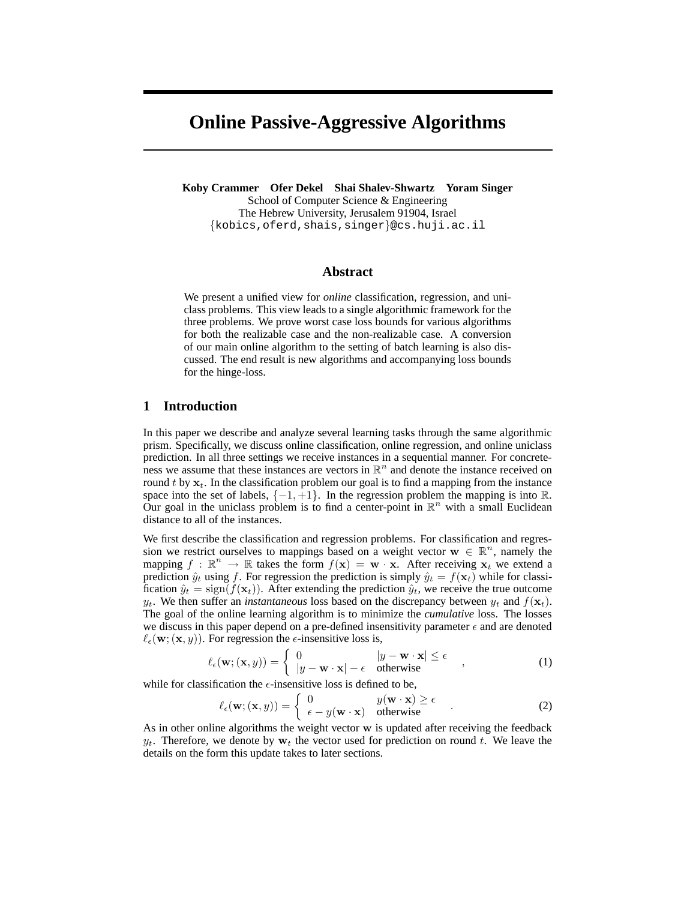# **Online Passive-Aggressive Algorithms**

**Koby Crammer Ofer Dekel Shai Shalev-Shwartz Yoram Singer** School of Computer Science & Engineering The Hebrew University, Jerusalem 91904, Israel {kobics,oferd,shais,singer}@cs.huji.ac.il

#### **Abstract**

We present a unified view for *online* classification, regression, and uniclass problems. This view leads to a single algorithmic framework for the three problems. We prove worst case loss bounds for various algorithms for both the realizable case and the non-realizable case. A conversion of our main online algorithm to the setting of batch learning is also discussed. The end result is new algorithms and accompanying loss bounds for the hinge-loss.

## **1 Introduction**

In this paper we describe and analyze several learning tasks through the same algorithmic prism. Specifically, we discuss online classification, online regression, and online uniclass prediction. In all three settings we receive instances in a sequential manner. For concreteness we assume that these instances are vectors in  $\mathbb{R}^n$  and denote the instance received on round t by  $x_t$ . In the classification problem our goal is to find a mapping from the instance space into the set of labels,  $\{-1, +1\}$ . In the regression problem the mapping is into R. Our goal in the uniclass problem is to find a center-point in  $\mathbb{R}^n$  with a small Euclidean distance to all of the instances.

We first describe the classification and regression problems. For classification and regression we restrict ourselves to mappings based on a weight vector  $\mathbf{w} \in \mathbb{R}^n$ , namely the mapping  $f : \mathbb{R}^n \to \mathbb{R}$  takes the form  $f(\mathbf{x}) = \mathbf{w} \cdot \mathbf{x}$ . After receiving  $\mathbf{x}_t$  we extend a prediction  $\hat{y}_t$  using f. For regression the prediction is simply  $\hat{y}_t = f(\mathbf{x}_t)$  while for classification  $\hat{y}_t = \text{sign}(f(\mathbf{x}_t))$ . After extending the prediction  $\hat{y}_t$ , we receive the true outcome  $y_t$ . We then suffer an *instantaneous* loss based on the discrepancy between  $y_t$  and  $f(\mathbf{x}_t)$ . The goal of the online learning algorithm is to minimize the *cumulative* loss. The losses we discuss in this paper depend on a pre-defined insensitivity parameter  $\epsilon$  and are denoted  $\ell_{\epsilon}(\mathbf{w}; (\mathbf{x}, y))$ . For regression the  $\epsilon$ -insensitive loss is,

$$
\ell_{\epsilon}(\mathbf{w}; (\mathbf{x}, y)) = \begin{cases} 0 & |y - \mathbf{w} \cdot \mathbf{x}| \le \epsilon \\ |y - \mathbf{w} \cdot \mathbf{x}| - \epsilon & \text{otherwise} \end{cases}
$$
 (1)

while for classification the  $\epsilon$ -insensitive loss is defined to be,

$$
\ell_{\epsilon}(\mathbf{w}; (\mathbf{x}, y)) = \begin{cases} 0 & y(\mathbf{w} \cdot \mathbf{x}) \ge \epsilon \\ \epsilon - y(\mathbf{w} \cdot \mathbf{x}) & \text{otherwise} \end{cases} .
$$
 (2)

As in other online algorithms the weight vector w is updated after receiving the feedback  $y_t$ . Therefore, we denote by  $w_t$  the vector used for prediction on round t. We leave the details on the form this update takes to later sections.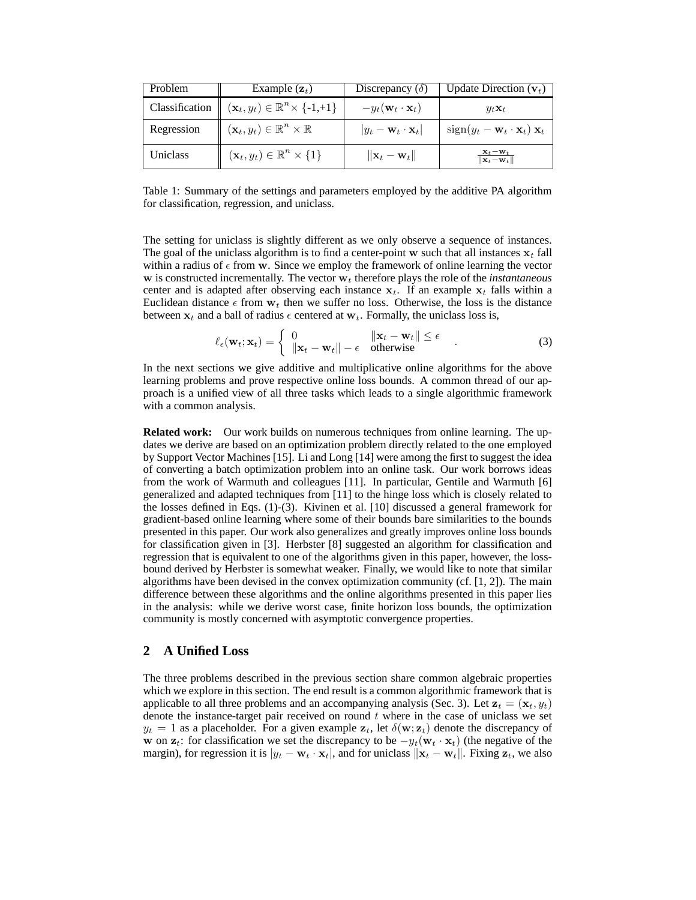| Problem        | Example $(\mathbf{z}_t)$                                 | Discrepancy $(\delta)$                    | Update Direction $(v_t)$                                              |
|----------------|----------------------------------------------------------|-------------------------------------------|-----------------------------------------------------------------------|
| Classification | $(\mathbf{x}_t, y_t) \in \mathbb{R}^n \times \{-1, +1\}$ | $-y_t(\mathbf{w}_t \cdot \mathbf{x}_t)$   | $y_t \mathbf{x}_t$                                                    |
| Regression     | $(\mathbf{x}_t, y_t) \in \mathbb{R}^n \times \mathbb{R}$ | $ y_t - \mathbf{w}_t \cdot \mathbf{x}_t $ | $sign(y_t - \mathbf{w}_t \cdot \mathbf{x}_t) \mathbf{x}_t$            |
| Uniclass       | $(\mathbf{x}_t, y_t) \in \mathbb{R}^n \times \{1\}$      | $\ \mathbf{x}_t - \mathbf{w}_t\ $         | $\frac{\mathbf{x}_t - \mathbf{w}_t}{\ \mathbf{x}_t - \mathbf{w}_t\ }$ |

Table 1: Summary of the settings and parameters employed by the additive PA algorithm for classification, regression, and uniclass.

The setting for uniclass is slightly different as we only observe a sequence of instances. The goal of the uniclass algorithm is to find a center-point w such that all instances  $x_t$  fall within a radius of  $\epsilon$  from w. Since we employ the framework of online learning the vector  $w$  is constructed incrementally. The vector  $w_t$  therefore plays the role of the *instantaneous* center and is adapted after observing each instance  $x_t$ . If an example  $x_t$  falls within a Euclidean distance  $\epsilon$  from  $w_t$  then we suffer no loss. Otherwise, the loss is the distance between  $x_t$  and a ball of radius  $\epsilon$  centered at  $w_t$ . Formally, the uniclass loss is,

$$
\ell_{\epsilon}(\mathbf{w}_{t}; \mathbf{x}_{t}) = \begin{cases} 0 & \|\mathbf{x}_{t} - \mathbf{w}_{t}\| \le \epsilon \\ \|\mathbf{x}_{t} - \mathbf{w}_{t}\| - \epsilon & \text{otherwise} \end{cases}
$$
(3)

In the next sections we give additive and multiplicative online algorithms for the above learning problems and prove respective online loss bounds. A common thread of our approach is a unified view of all three tasks which leads to a single algorithmic framework with a common analysis.

**Related work:** Our work builds on numerous techniques from online learning. The updates we derive are based on an optimization problem directly related to the one employed by Support Vector Machines [15]. Li and Long [14] were among the first to suggest the idea of converting a batch optimization problem into an online task. Our work borrows ideas from the work of Warmuth and colleagues [11]. In particular, Gentile and Warmuth [6] generalized and adapted techniques from [11] to the hinge loss which is closely related to the losses defined in Eqs. (1)-(3). Kivinen et al. [10] discussed a general framework for gradient-based online learning where some of their bounds bare similarities to the bounds presented in this paper. Our work also generalizes and greatly improves online loss bounds for classification given in [3]. Herbster [8] suggested an algorithm for classification and regression that is equivalent to one of the algorithms given in this paper, however, the lossbound derived by Herbster is somewhat weaker. Finally, we would like to note that similar algorithms have been devised in the convex optimization community (cf.  $[1, 2]$ ). The main difference between these algorithms and the online algorithms presented in this paper lies in the analysis: while we derive worst case, finite horizon loss bounds, the optimization community is mostly concerned with asymptotic convergence properties.

## **2 A Unified Loss**

The three problems described in the previous section share common algebraic properties which we explore in this section. The end result is a common algorithmic framework that is applicable to all three problems and an accompanying analysis (Sec. 3). Let  $z_t = (\mathbf{x}_t, y_t)$ denote the instance-target pair received on round  $t$  where in the case of uniclass we set  $y_t = 1$  as a placeholder. For a given example  $z_t$ , let  $\delta(\mathbf{w}; \mathbf{z}_t)$  denote the discrepancy of w on  $z_t$ : for classification we set the discrepancy to be  $-y_t(\mathbf{w}_t \cdot \mathbf{x}_t)$  (the negative of the margin), for regression it is  $|y_t - \mathbf{w}_t \cdot \mathbf{x}_t|$ , and for uniclass  $\|\mathbf{x}_t - \mathbf{w}_t\|$ . Fixing  $\mathbf{z}_t$ , we also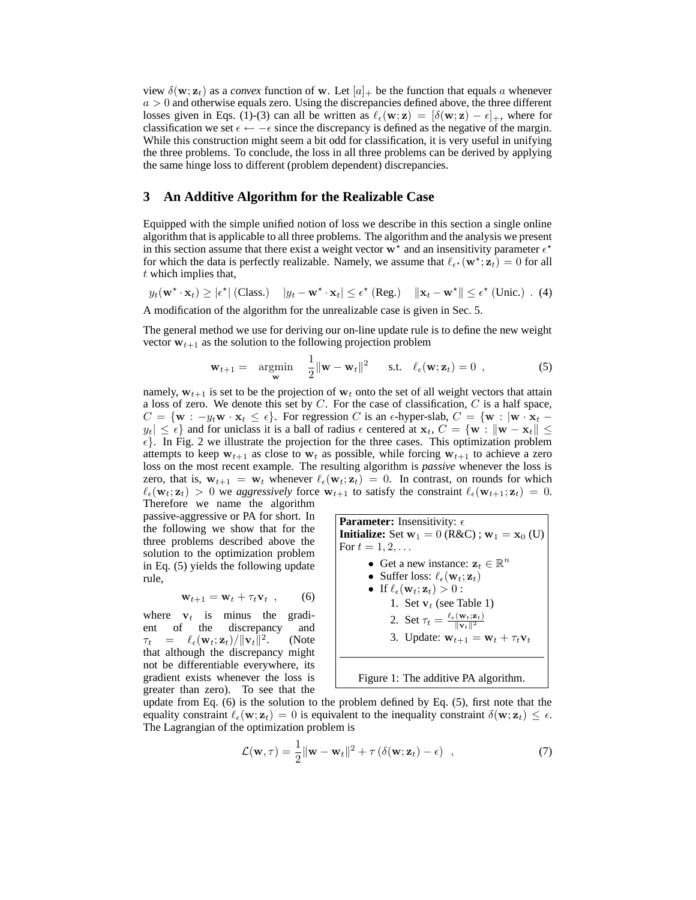view  $\delta(\mathbf{w}; \mathbf{z}_t)$  as a *convex* function of **w**. Let  $[a]_+$  be the function that equals a whenever  $a > 0$  and otherwise equals zero. Using the discrepancies defined above, the three different losses given in Eqs. (1)-(3) can all be written as  $\ell_{\epsilon}(\mathbf{w}; \mathbf{z}) = [\delta(\mathbf{w}; \mathbf{z}) - \epsilon]_+$ , where for classification we set  $\epsilon \leftarrow -\epsilon$  since the discrepancy is defined as the negative of the margin. While this construction might seem a bit odd for classification, it is very useful in unifying the three problems. To conclude, the loss in all three problems can be derived by applying the same hinge loss to different (problem dependent) discrepancies.

## **3 An Additive Algorithm for the Realizable Case**

Equipped with the simple unified notion of loss we describe in this section a single online algorithm that is applicable to all three problems. The algorithm and the analysis we present in this section assume that there exist a weight vector  $w^*$  and an insensitivity parameter  $\epsilon^*$ for which the data is perfectly realizable. Namely, we assume that  $\ell_{\epsilon^*}(\mathbf{w}^*; \mathbf{z}_t) = 0$  for all t which implies that,

$$
y_t(\mathbf{w}^{\star} \cdot \mathbf{x}_t) \ge |\epsilon^{\star}| \text{ (Class.)} \quad |y_t - \mathbf{w}^{\star} \cdot \mathbf{x}_t| \le \epsilon^{\star} \text{ (Reg.)} \quad ||\mathbf{x}_t - \mathbf{w}^{\star}|| \le \epsilon^{\star} \text{ (Unic.)} \quad (4)
$$

A modification of the algorithm for the unrealizable case is given in Sec. 5.

The general method we use for deriving our on-line update rule is to define the new weight vector  $w_{t+1}$  as the solution to the following projection problem

$$
\mathbf{w}_{t+1} = \operatorname*{argmin}_{\mathbf{w}} \quad \frac{1}{2} \|\mathbf{w} - \mathbf{w}_t\|^2 \quad \text{s.t.} \quad \ell_{\epsilon}(\mathbf{w}; \mathbf{z}_t) = 0 \tag{5}
$$

namely,  $w_{t+1}$  is set to be the projection of  $w_t$  onto the set of all weight vectors that attain a loss of zero. We denote this set by  $C$ . For the case of classification,  $C$  is a half space,  $C = \{w : -y_t w \cdot x_t \leq \epsilon\}.$  For regression C is an  $\epsilon$ -hyper-slab,  $C = \{w : |w \cdot x_t |y_t| \leq \epsilon$  and for uniclass it is a ball of radius  $\epsilon$  centered at  $\mathbf{x}_t, C = \{\mathbf{w} : ||\mathbf{w} - \mathbf{x}_t|| \leq \epsilon\}$  $\epsilon$ . In Fig. 2 we illustrate the projection for the three cases. This optimization problem attempts to keep  $w_{t+1}$  as close to  $w_t$  as possible, while forcing  $w_{t+1}$  to achieve a zero loss on the most recent example. The resulting algorithm is *passive* whenever the loss is zero, that is,  $w_{t+1} = w_t$  whenever  $\ell_{\epsilon}(w_t; \mathbf{z}_t) = 0$ . In contrast, on rounds for which  $\ell_{\epsilon}(\mathbf{w}_t; \mathbf{z}_t) > 0$  we *aggressively* force  $\mathbf{w}_{t+1}$  to satisfy the constraint  $\ell_{\epsilon}(\mathbf{w}_{t+1}; \mathbf{z}_t) = 0$ . Therefore we name the algorithm

passive-aggressive or PA for short. In the following we show that for the three problems described above the solution to the optimization problem in Eq. (5) yields the following update rule,

$$
\mathbf{w}_{t+1} = \mathbf{w}_t + \tau_t \mathbf{v}_t \quad , \qquad (6)
$$

where  $v_t$  is minus the gradient of the discrepancy and  $\tau_t \quad = \quad \ell_\epsilon(\mathbf{w}_t; \mathbf{z}_t) / \|\mathbf{v}_t\|^2$ . (Note that although the discrepancy might not be differentiable everywhere, its gradient exists whenever the loss is greater than zero). To see that the

**Parameter:** Insensitivity:  $\epsilon$ **Initialize:** Set  $w_1 = 0$  (R&C);  $w_1 = x_0$  (U) For  $t = 1, 2, ...$ • Get a new instance:  $\mathbf{z}_t \in \mathbb{R}^n$ • Suffer loss:  $\ell_{\epsilon}(\mathbf{w}_t; \mathbf{z}_t)$ • If  $\ell_{\epsilon}(\mathbf{w}_t; \mathbf{z}_t) > 0$  : 1. Set  $\mathbf{v}_t$  (see Table 1) 2. Set  $\tau_t = \frac{\ell_{\epsilon}(\mathbf{w}_t; \mathbf{z}_t)}{\|\mathbf{v}_t\|^2}$  $\|\mathbf{v}_t\|^2$ 3. Update:  $\mathbf{w}_{t+1} = \mathbf{w}_t + \tau_t \mathbf{v}_t$ Figure 1: The additive PA algorithm.

update from Eq.  $(6)$  is the solution to the problem defined by Eq.  $(5)$ , first note that the equality constraint  $\ell_{\epsilon}(\mathbf{w}; \mathbf{z}_t) = 0$  is equivalent to the inequality constraint  $\delta(\mathbf{w}; \mathbf{z}_t) \leq \epsilon$ . The Lagrangian of the optimization problem is

$$
\mathcal{L}(\mathbf{w},\tau) = \frac{1}{2} ||\mathbf{w} - \mathbf{w}_t||^2 + \tau (\delta(\mathbf{w}; \mathbf{z}_t) - \epsilon) , \qquad (7)
$$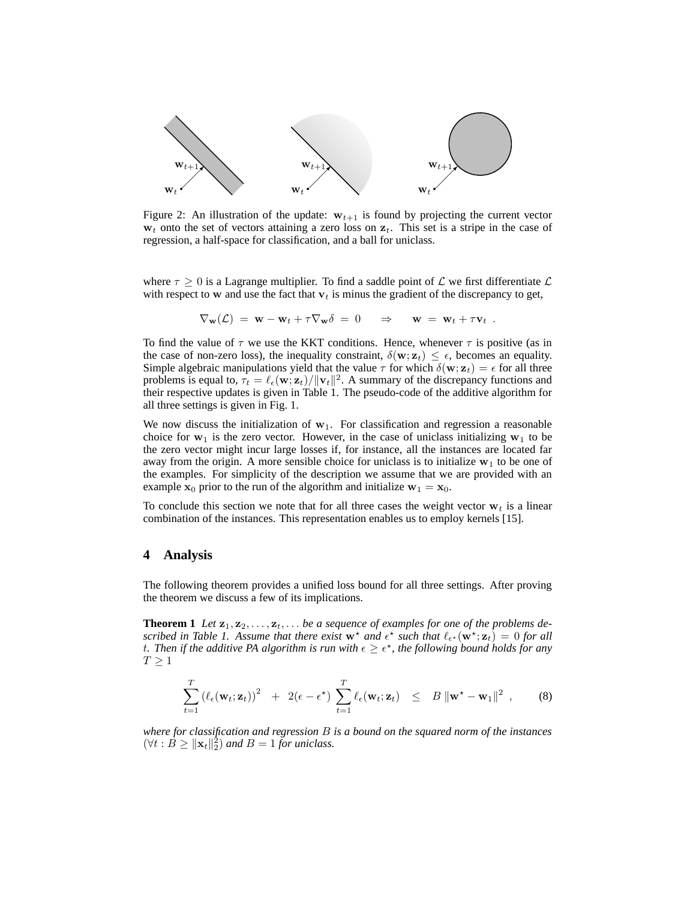

Figure 2: An illustration of the update:  $w_{t+1}$  is found by projecting the current vector  $w_t$  onto the set of vectors attaining a zero loss on  $z_t$ . This set is a stripe in the case of regression, a half-space for classification, and a ball for uniclass.

where  $\tau \geq 0$  is a Lagrange multiplier. To find a saddle point of  $\mathcal L$  we first differentiate  $\mathcal L$ with respect to w and use the fact that  $v_t$  is minus the gradient of the discrepancy to get,

$$
\nabla_{\mathbf{w}}(\mathcal{L}) = \mathbf{w} - \mathbf{w}_t + \tau \nabla_{\mathbf{w}} \delta = 0 \quad \Rightarrow \quad \mathbf{w} = \mathbf{w}_t + \tau \mathbf{v}_t .
$$

To find the value of  $\tau$  we use the KKT conditions. Hence, whenever  $\tau$  is positive (as in the case of non-zero loss), the inequality constraint,  $\delta(\mathbf{w}; \mathbf{z}_t) \leq \epsilon$ , becomes an equality. Simple algebraic manipulations yield that the value  $\tau$  for which  $\delta(\mathbf{w}; \mathbf{z}_t) = \epsilon$  for all three problems is equal to,  $\tau_t = \ell_{\epsilon}(\mathbf{w}; \mathbf{z}_t) / ||\mathbf{v}_t||^2$ . A summary of the discrepancy functions and their respective updates is given in Table 1. The pseudo-code of the additive algorithm for all three settings is given in Fig. 1.

We now discuss the initialization of  $w_1$ . For classification and regression a reasonable choice for  $w_1$  is the zero vector. However, in the case of uniclass initializing  $w_1$  to be the zero vector might incur large losses if, for instance, all the instances are located far away from the origin. A more sensible choice for uniclass is to initialize  $w_1$  to be one of the examples. For simplicity of the description we assume that we are provided with an example  $x_0$  prior to the run of the algorithm and initialize  $w_1 = x_0$ .

To conclude this section we note that for all three cases the weight vector  $w_t$  is a linear combination of the instances. This representation enables us to employ kernels [15].

#### **4 Analysis**

The following theorem provides a unified loss bound for all three settings. After proving the theorem we discuss a few of its implications.

**Theorem 1** Let  $z_1, z_2, \ldots, z_t, \ldots$  be a sequence of examples for one of the problems described in Table 1. Assume that there exist  $w^*$  and  $\epsilon^*$  such that  $\ell_{\epsilon^*}(w^*; z_t) = 0$  for all t. Then if the additive PA algorithm is run with  $\epsilon \geq \epsilon^*$ , the following bound holds for any  $T \geq 1$ 

$$
\sum_{t=1}^T \left( \ell_{\epsilon}(\mathbf{w}_t; \mathbf{z}_t) \right)^2 + 2(\epsilon - \epsilon^*) \sum_{t=1}^T \ell_{\epsilon}(\mathbf{w}_t; \mathbf{z}_t) \leq B \|\mathbf{w}^* - \mathbf{w}_1\|^2,
$$
 (8)

*where for classification and regression* B *is a bound on the squared norm of the instances*  $(\forall t : \check{B} \geq ||\mathbf{x}_t||_2^2)$  and  $B = 1$  *for uniclass.*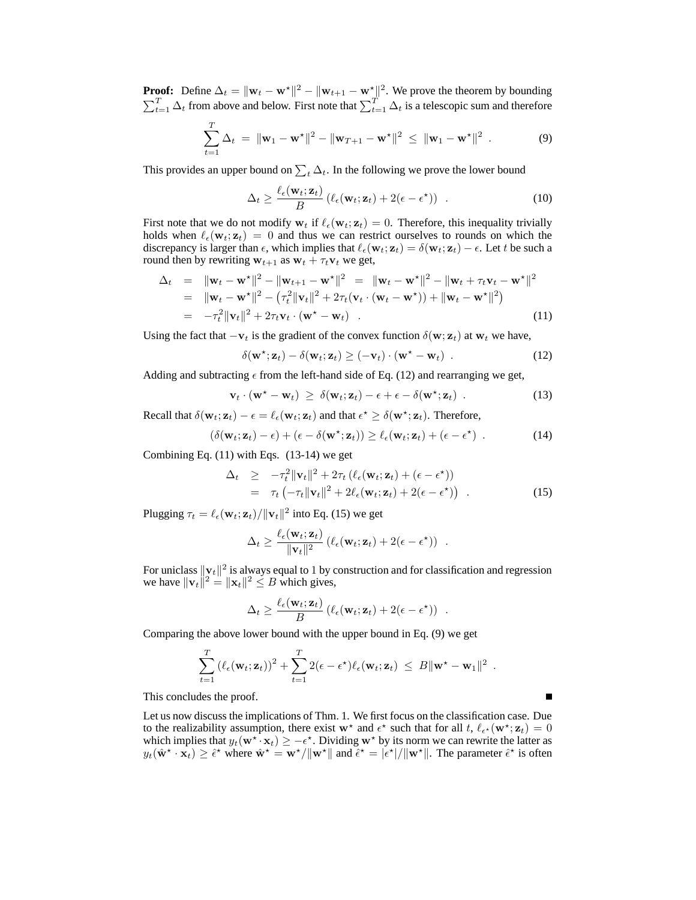**Proof:** Define  $\Delta_t = ||\mathbf{w}_t - \mathbf{w}^*||^2 - ||\mathbf{w}_{t+1} - \mathbf{w}^*||^2$ . We prove the theorem by bounding  $\sum_{t=1}^{T} \Delta_t$  from above and below. First note that  $\sum_{t=1}^{T} \Delta_t$  is a telescopic sum and therefore

$$
\sum_{t=1}^{T} \Delta_t = \|\mathbf{w}_1 - \mathbf{w}^{\star}\|^2 - \|\mathbf{w}_{T+1} - \mathbf{w}^{\star}\|^2 \leq \|\mathbf{w}_1 - \mathbf{w}^{\star}\|^2.
$$
 (9)

This provides an upper bound on  $\sum_{t} \Delta_{t}$ . In the following we prove the lower bound

$$
\Delta_t \ge \frac{\ell_{\epsilon}(\mathbf{w}_t; \mathbf{z}_t)}{B} \left( \ell_{\epsilon}(\mathbf{w}_t; \mathbf{z}_t) + 2(\epsilon - \epsilon^{\star}) \right) . \tag{10}
$$

First note that we do not modify  $w_t$  if  $\ell_\epsilon(w_t; \mathbf{z}_t) = 0$ . Therefore, this inequality trivially holds when  $\ell_{\epsilon}(\mathbf{w}_t; \mathbf{z}_t) = 0$  and thus we can restrict ourselves to rounds on which the discrepancy is larger than  $\epsilon$ , which implies that  $\ell_{\epsilon}(\mathbf{w}_t; \mathbf{z}_t) = \delta(\mathbf{w}_t; \mathbf{z}_t) - \epsilon$ . Let t be such a round then by rewriting  $w_{t+1}$  as  $w_t + \tau_t v_t$  we get,

$$
\Delta_t = \|\mathbf{w}_t - \mathbf{w}^*\|^2 - \|\mathbf{w}_{t+1} - \mathbf{w}^*\|^2 = \|\mathbf{w}_t - \mathbf{w}^*\|^2 - \|\mathbf{w}_t + \tau_t \mathbf{v}_t - \mathbf{w}^*\|^2
$$
  
\n
$$
= \|\mathbf{w}_t - \mathbf{w}^*\|^2 - (\tau_t^2 \|\mathbf{v}_t\|^2 + 2\tau_t (\mathbf{v}_t \cdot (\mathbf{w}_t - \mathbf{w}^*)) + \|\mathbf{w}_t - \mathbf{w}^*\|^2)
$$
  
\n
$$
= -\tau_t^2 \|\mathbf{v}_t\|^2 + 2\tau_t \mathbf{v}_t \cdot (\mathbf{w}^* - \mathbf{w}_t) .
$$
 (11)

Using the fact that  $-\mathbf{v}_t$  is the gradient of the convex function  $\delta(\mathbf{w}; \mathbf{z}_t)$  at  $\mathbf{w}_t$  we have,

$$
\delta(\mathbf{w}^{\star}; \mathbf{z}_t) - \delta(\mathbf{w}_t; \mathbf{z}_t) \geq (-\mathbf{v}_t) \cdot (\mathbf{w}^{\star} - \mathbf{w}_t) . \tag{12}
$$

Adding and subtracting  $\epsilon$  from the left-hand side of Eq. (12) and rearranging we get,

$$
\mathbf{v}_t \cdot (\mathbf{w}^* - \mathbf{w}_t) \geq \delta(\mathbf{w}_t; \mathbf{z}_t) - \epsilon + \epsilon - \delta(\mathbf{w}^*; \mathbf{z}_t) \tag{13}
$$

Recall that  $\delta(\mathbf{w}_t; \mathbf{z}_t) - \epsilon = \ell_{\epsilon}(\mathbf{w}_t; \mathbf{z}_t)$  and that  $\epsilon^* \geq \delta(\mathbf{w}^*; \mathbf{z}_t)$ . Therefore,

$$
(\delta(\mathbf{w}_t; \mathbf{z}_t) - \epsilon) + (\epsilon - \delta(\mathbf{w}^{\star}; \mathbf{z}_t)) \ge \ell_{\epsilon}(\mathbf{w}_t; \mathbf{z}_t) + (\epsilon - \epsilon^{\star})
$$
 (14)

Combining Eq. (11) with Eqs. (13-14) we get

$$
\Delta_t \geq -\tau_t^2 \|\mathbf{v}_t\|^2 + 2\tau_t \left( \ell_{\epsilon}(\mathbf{w}_t; \mathbf{z}_t) + (\epsilon - \epsilon^*) \right) \n= \tau_t \left( -\tau_t \|\mathbf{v}_t\|^2 + 2\ell_{\epsilon}(\mathbf{w}_t; \mathbf{z}_t) + 2(\epsilon - \epsilon^*) \right) .
$$
\n(15)

Е

Plugging  $\tau_t = \ell_{\epsilon}(\mathbf{w}_t; \mathbf{z}_t) / ||\mathbf{v}_t||^2$  into Eq. (15) we get

$$
\Delta_t \geq \frac{\ell_{\epsilon}(\mathbf{w}_t; \mathbf{z}_t)}{\Vert \mathbf{v}_t \Vert^2} \left( \ell_{\epsilon}(\mathbf{w}_t; \mathbf{z}_t) + 2(\epsilon - \epsilon^{\star}) \right) .
$$

For uniclass  $||\mathbf{v}_t||^2$  is always equal to 1 by construction and for classification and regression we have  $\|\mathbf{v}_t\|^2 = \|\mathbf{x}_t\|^2 \leq B$  which gives,

$$
\Delta_t \geq \frac{\ell_{\epsilon}(\mathbf{w}_t; \mathbf{z}_t)}{B} \left( \ell_{\epsilon}(\mathbf{w}_t; \mathbf{z}_t) + 2(\epsilon - \epsilon^*) \right) .
$$

Comparing the above lower bound with the upper bound in Eq. (9) we get

$$
\sum_{t=1}^T \left( \ell_{\epsilon}(\mathbf{w}_t; \mathbf{z}_t) \right)^2 + \sum_{t=1}^T 2(\epsilon - \epsilon^{\star}) \ell_{\epsilon}(\mathbf{w}_t; \mathbf{z}_t) \leq B \|\mathbf{w}^{\star} - \mathbf{w}_1\|^2.
$$

This concludes the proof.

Let us now discuss the implications of Thm. 1. We first focus on the classification case. Due to the realizability assumption, there exist  $w^*$  and  $\epsilon^*$  such that for all t,  $\ell_{\epsilon^*}(w^*; \mathbf{z}_t) = 0$ which implies that  $y_t(\mathbf{w}^*, \mathbf{x}_t) \ge -\epsilon^*$ . Dividing  $\mathbf{w}^*$  by its norm we can rewrite the latter as  $y_t(\hat{\mathbf{w}}^* \cdot \mathbf{x}_t) \ge \hat{\epsilon}^*$  where  $\hat{\mathbf{w}}^* = \mathbf{w}^* / ||\mathbf{w}^*||$  and  $\hat{\epsilon}^* = |\hat{\epsilon}^*| / ||\mathbf{w}^*||$ . The parameter  $\hat{\epsilon}^*$  is often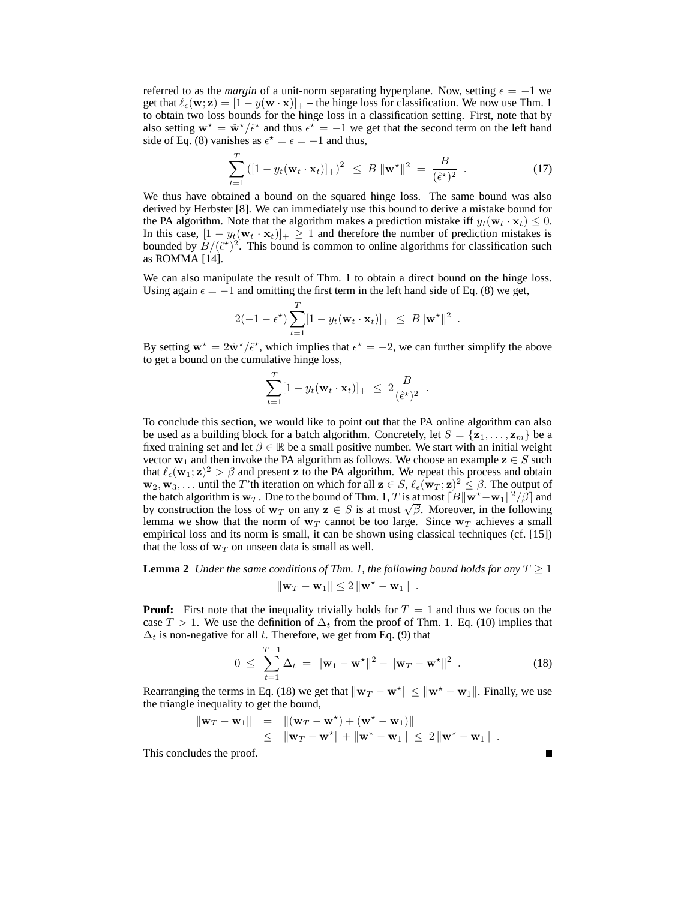referred to as the *margin* of a unit-norm separating hyperplane. Now, setting  $\epsilon = -1$  we get that  $\ell_{\epsilon}(\mathbf{w}; \mathbf{z}) = [1 - y(\mathbf{w} \cdot \mathbf{x})]_{+}$  – the hinge loss for classification. We now use Thm. 1 to obtain two loss bounds for the hinge loss in a classification setting. First, note that by also setting  $\mathbf{w}^* = \hat{\mathbf{w}}^*/\hat{\epsilon}^*$  and thus  $\epsilon^* = -1$  we get that the second term on the left hand side of Eq. (8) vanishes as  $\epsilon^* = \epsilon = -1$  and thus,

$$
\sum_{t=1}^{T} ([1 - y_t(\mathbf{w}_t \cdot \mathbf{x}_t)]_+)^2 \leq B \, \|\mathbf{w}^{\star}\|^2 = \frac{B}{(\hat{\epsilon}^{\star})^2} \quad . \tag{17}
$$

We thus have obtained a bound on the squared hinge loss. The same bound was also derived by Herbster [8]. We can immediately use this bound to derive a mistake bound for the PA algorithm. Note that the algorithm makes a prediction mistake iff  $y_t(\mathbf{w}_t \cdot \mathbf{x}_t) \leq 0$ . In this case,  $[1 - y_t(\mathbf{w}_t \cdot \mathbf{x}_t)]_+ \ge 1$  and therefore the number of prediction mistakes is bounded by  $B/(\hat{\epsilon}^*)^2$ . This bound is common to online algorithms for classification such as ROMMA [14].

We can also manipulate the result of Thm. 1 to obtain a direct bound on the hinge loss. Using again  $\epsilon = -1$  and omitting the first term in the left hand side of Eq. (8) we get,

$$
2(-1-\epsilon^{\star})\sum_{t=1}^{T}[1-y_t(\mathbf{w}_t\cdot\mathbf{x}_t)]_{+} \leq B\|\mathbf{w}^{\star}\|^2.
$$

By setting  $\mathbf{w}^* = 2\hat{\mathbf{w}}^*/\hat{\epsilon}^*$ , which implies that  $\epsilon^* = -2$ , we can further simplify the above to get a bound on the cumulative hinge loss,

$$
\sum_{t=1}^T [1 - y_t(\mathbf{w}_t \cdot \mathbf{x}_t)]_+ \ \leq \ 2 \frac{B}{(\hat{\epsilon}^*)^2} \ .
$$

To conclude this section, we would like to point out that the PA online algorithm can also be used as a building block for a batch algorithm. Concretely, let  $S = {\mathbf{z}_1, \dots, \mathbf{z}_m}$  be a fixed training set and let  $\beta \in \mathbb{R}$  be a small positive number. We start with an initial weight vector  $w_1$  and then invoke the PA algorithm as follows. We choose an example  $z \in S$  such that  $\ell_{\epsilon}(\mathbf{w}_1; \mathbf{z})^2 > \beta$  and present z to the PA algorithm. We repeat this process and obtain  $\mathbf{w}_2, \mathbf{w}_3, \ldots$  until the T'th iteration on which for all  $\mathbf{z} \in S$ ,  $\ell_{\epsilon}(\mathbf{w}_T; \mathbf{z})^2 \leq \beta$ . The output of the batch algorithm is  $w_T$ . Due to the bound of Thm. 1, T is at most  $\lceil B \rceil \mathbf{w}^* - \mathbf{w}_1 \rceil^2 / \beta \rceil$  and by construction the loss of  $w_T$  on any  $z \in S$  is at most  $\sqrt{\beta}$ . Moreover, in the following lemma we show that the norm of  $w_T$  cannot be too large. Since  $w_T$  achieves a small empirical loss and its norm is small, it can be shown using classical techniques (cf. [15]) that the loss of  $w_T$  on unseen data is small as well.

**Lemma 2** *Under the same conditions of Thm. 1, the following bound holds for any*  $T \geq 1$  $\|\mathbf{w}_T - \mathbf{w}_1\| \leq 2 \|\mathbf{w}^* - \mathbf{w}_1\|$ .

**Proof:** First note that the inequality trivially holds for  $T = 1$  and thus we focus on the case T > 1. We use the definition of  $\Delta_t$  from the proof of Thm. 1. Eq. (10) implies that  $\Delta_t$  is non-negative for all t. Therefore, we get from Eq. (9) that

$$
0 \leq \sum_{t=1}^{T-1} \Delta_t = \|\mathbf{w}_1 - \mathbf{w}^{\star}\|^2 - \|\mathbf{w}_T - \mathbf{w}^{\star}\|^2.
$$
 (18)

Rearranging the terms in Eq. (18) we get that  $\|\mathbf{w}_T - \mathbf{w}^*\| \leq \|\mathbf{w}^* - \mathbf{w}_1\|$ . Finally, we use the triangle inequality to get the bound,

$$
\begin{array}{rcl}\n\|\mathbf{w}_T - \mathbf{w}_1\| & = & \|(\mathbf{w}_T - \mathbf{w}^*) + (\mathbf{w}^* - \mathbf{w}_1)\| \\
& \leq & \|\mathbf{w}_T - \mathbf{w}^*\| + \|\mathbf{w}^* - \mathbf{w}_1\| \leq 2\|\mathbf{w}^* - \mathbf{w}_1\| \,.\n\end{array}
$$

This concludes the proof.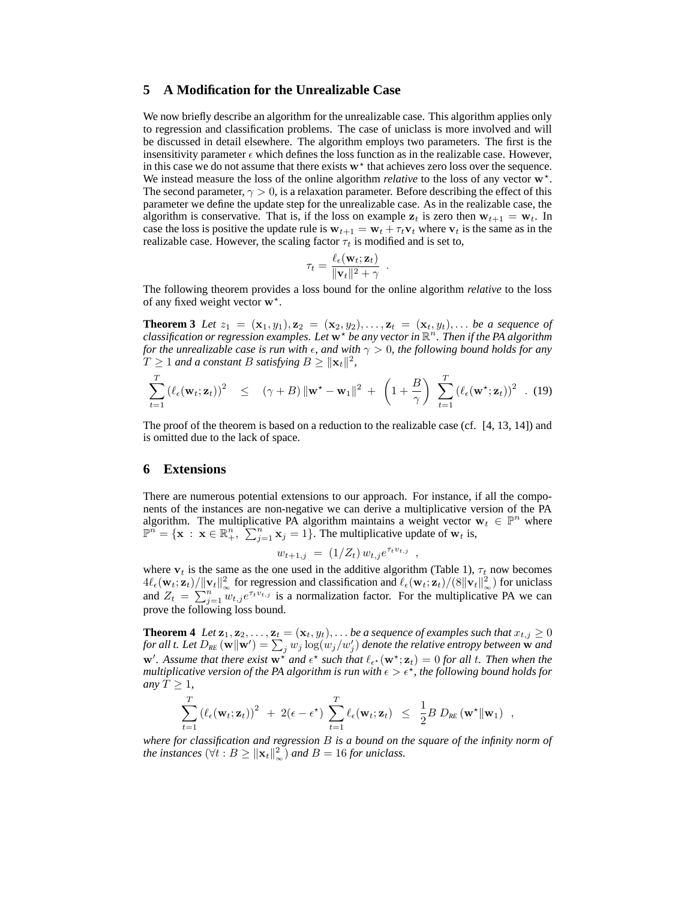## **5 A Modification for the Unrealizable Case**

We now briefly describe an algorithm for the unrealizable case. This algorithm applies only to regression and classification problems. The case of uniclass is more involved and will be discussed in detail elsewhere. The algorithm employs two parameters. The first is the insensitivity parameter  $\epsilon$  which defines the loss function as in the realizable case. However, in this case we do not assume that there exists  $w^*$  that achieves zero loss over the sequence. We instead measure the loss of the online algorithm *relative* to the loss of any vector  $\mathbf{w}^*$ . The second parameter,  $\gamma > 0$ , is a relaxation parameter. Before describing the effect of this parameter we define the update step for the unrealizable case. As in the realizable case, the algorithm is conservative. That is, if the loss on example  $z_t$  is zero then  $w_{t+1} = w_t$ . In case the loss is positive the update rule is  $w_{t+1} = w_t + \tau_t v_t$  where  $v_t$  is the same as in the realizable case. However, the scaling factor  $\tau_t$  is modified and is set to,

$$
\tau_t = \frac{\ell_{\epsilon}(\mathbf{w}_t; \mathbf{z}_t)}{\|\mathbf{v}_t\|^2 + \gamma} .
$$

The following theorem provides a loss bound for the online algorithm *relative* to the loss of any fixed weight vector  $w^*$ .

**Theorem 3** Let  $z_1 = (\mathbf{x}_1, y_1), \mathbf{z}_2 = (\mathbf{x}_2, y_2), \ldots, \mathbf{z}_t = (\mathbf{x}_t, y_t), \ldots$  be a sequence of classification or regression examples. Let  $\mathbf{w}^*$  be any vector in  $\mathbb{R}^n$ . Then if the PA algorithm *for the unrealizable case is run with*  $\epsilon$ , and with  $\gamma > 0$ , the following bound holds for any  $T \geq 1$  and a constant B satisfying  $B \geq ||\mathbf{x}_t||^2$ ,

$$
\sum_{t=1}^{T} \left( \ell_{\epsilon}(\mathbf{w}_{t}; \mathbf{z}_{t}) \right)^{2} \leq (\gamma + B) \|\mathbf{w}^{\star} - \mathbf{w}_{1}\|^{2} + \left( 1 + \frac{B}{\gamma} \right) \sum_{t=1}^{T} \left( \ell_{\epsilon}(\mathbf{w}^{\star}; \mathbf{z}_{t}) \right)^{2} . (19)
$$

The proof of the theorem is based on a reduction to the realizable case (cf. [4, 13, 14]) and is omitted due to the lack of space.

#### **6 Extensions**

There are numerous potential extensions to our approach. For instance, if all the components of the instances are non-negative we can derive a multiplicative version of the PA algorithm. The multiplicative PA algorithm maintains a weight vector  $\mathbf{w}_t \in \mathbb{P}^n$  where  $\mathbb{P}^n = \{ \mathbf{x} : \mathbf{x} \in \mathbb{R}_+^n, \sum_{j=1}^n x_j = 1 \}.$  The multiplicative update of  $\mathbf{w}_t$  is,

$$
w_{t+1,j} = (1/Z_t) w_{t,j} e^{\tau_t v_{t,j}},
$$

where  $v_t$  is the same as the one used in the additive algorithm (Table 1),  $\tau_t$  now becomes  $4\ell_{\epsilon}(\mathbf{w}_t; \mathbf{z}_t) / ||\mathbf{v}_t||^2_{\infty}$  for regression and classification and  $\ell_{\epsilon}(\mathbf{w}_t; \mathbf{z}_t) / (8||\mathbf{v}_t||^2_{\infty})$  for uniclass and  $Z_t = \sum_{j=1}^{n} w_{t,j} e^{\tau_t v_{t,j}}$  is a normalization factor. For the multiplicative PA we can prove the following loss bound.

**Theorem 4** *Let*  $z_1, z_2, \ldots, z_t = (x_t, y_t), \ldots$  *be a sequence of examples such that*  $x_{t,j} \geq 0$ *for all t. Let*  $D_{RE}(\vec{w}||\vec{w}') = \sum_j w_j \log(w_j/w'_j)$  *denote the relative entropy between*  $\vec{w}$  *and*  $w'$ . Assume that there exist  $w^*$  and  $\epsilon^*$  such that  $\ell_{\epsilon^*}(w^*; z_t) = 0$  for all t. Then when the multiplicative version of the PA algorithm is run with  $\epsilon > \epsilon^\star$ , the following bound holds for *any*  $T \geq 1$ *,* 

$$
\sum_{t=1}^T \left( \ell_{\epsilon}(\mathbf{w}_t; \mathbf{z}_t) \right)^2 + 2(\epsilon - \epsilon^*) \sum_{t=1}^T \ell_{\epsilon}(\mathbf{w}_t; \mathbf{z}_t) \leq \frac{1}{2} B D_{RE}(\mathbf{w}^* || \mathbf{w}_1) ,
$$

*where for classification and regression* B *is a bound on the square of the infinity norm of the instances*  $(\forall t : B \ge ||\mathbf{x}_t||_{\infty}^2)$  *and*  $B = 16$  *for uniclass.*